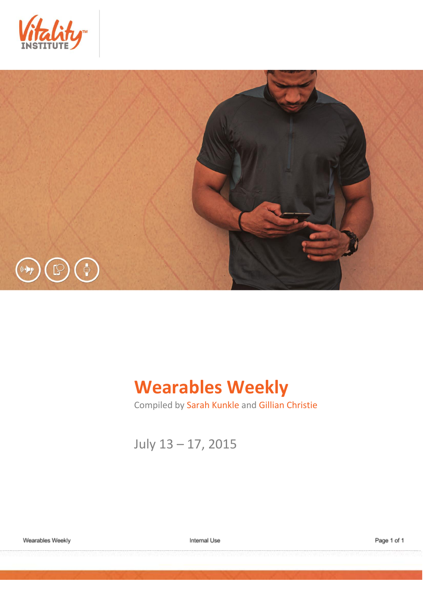



# **Wearables Weekly**

Compiled by Sarah Kunkle and Gillian Christie

July 13 – 17, 2015

Internal Use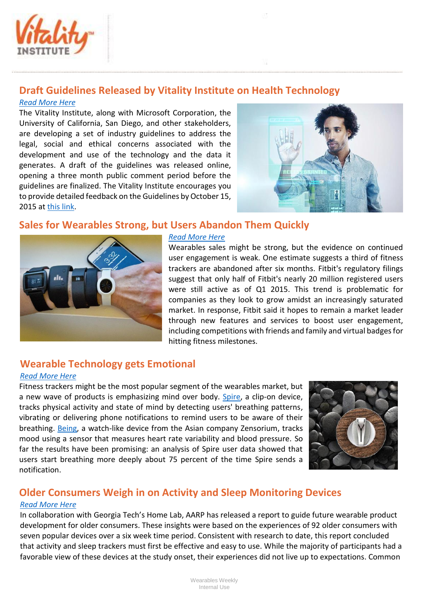

## **Draft Guidelines Released by Vitality Institute on Health Technology**

#### *[Read More Here](http://thevitalityinstitute.org/GuidelinesPressRelease)*

The Vitality Institute, along with Microsoft Corporation, the University of California, San Diego, and other stakeholders, are developing a set of industry guidelines to address the legal, social and ethical concerns associated with the development and use of the technology and the data it generates. A draft of the guidelines was released online, opening a three month public comment period before the guidelines are finalized. The Vitality Institute encourages you to provide detailed feedback on the Guidelines by October 15, 2015 at [this link.](http://thevitalityinstitute.org/projects/personalized-health-technology/)



### **Sales for Wearables Strong, but Users Abandon Them Quickly**



#### *[Read More Here](http://www.businessinsider.com/sales-for-wearables-is-strong-but-users-are-abandoning-them-quickly-after-2015-7)*

Wearables sales might be strong, but the evidence on continued user engagement is weak. One estimate suggests a third of fitness trackers are abandoned after six months. Fitbit's regulatory filings suggest that only half of Fitbit's nearly 20 million registered users were still active as of Q1 2015. This trend is problematic for companies as they look to grow amidst an increasingly saturated market. In response, Fitbit said it hopes to remain a market leader through new features and services to boost user engagement, including competitions with friends and family and virtual badges for hitting fitness milestones.

## **Wearable Technology gets Emotional**

#### *[Read More Here](http://health.usnews.com/health-news/health-wellness/articles/2015/07/09/wearable-technology-can-now-detect-your-emotions)*

Fitness trackers might be the most popular segment of the wearables market, but a new wave of products is emphasizing mind over body. [Spire,](https://www.spire.io/) a clip-on device, tracks physical activity and state of mind by detecting users' breathing patterns, vibrating or delivering phone notifications to remind users to be aware of their breathing. [Being,](https://www.zensorium.com/being) a watch-like device from the Asian company Zensorium, tracks mood using a sensor that measures heart rate variability and blood pressure. So far the results have been promising: an analysis of Spire user data showed that users start breathing more deeply about 75 percent of the time Spire sends a notification.



## **Older Consumers Weigh in on Activity and Sleep Monitoring Devices**

#### *[Read More Here](http://www.aarp.org/content/dam/aarp/home-and-family/personal-technology/2015-07/innovation-50-project-catalyst-tracker-study-AARP.pdf)*

In collaboration with Georgia Tech's Home Lab, AARP has released a report to guide future wearable product development for older consumers. These insights were based on the experiences of 92 older consumers with seven popular devices over a six week time period. Consistent with research to date, this report concluded that activity and sleep trackers must first be effective and easy to use. While the majority of participants had a favorable view of these devices at the study onset, their experiences did not live up to expectations. Common